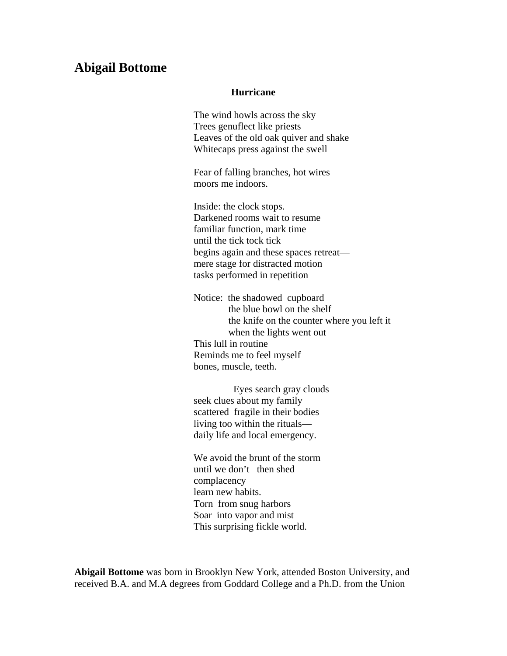## **Abigail Bottome**

## **Hurricane**

The wind howls across the sky Trees genuflect like priests Leaves of the old oak quiver and shake Whitecaps press against the swell

Fear of falling branches, hot wires moors me indoors.

Inside: the clock stops. Darkened rooms wait to resume familiar function, mark time until the tick tock tick begins again and these spaces retreat mere stage for distracted motion tasks performed in repetition

Notice: the shadowed cupboard the blue bowl on the shelf the knife on the counter where you left it when the lights went out This lull in routine Reminds me to feel myself bones, muscle, teeth.

 Eyes search gray clouds seek clues about my family scattered fragile in their bodies living too within the rituals daily life and local emergency.

We avoid the brunt of the storm until we don't then shed complacency learn new habits. Torn from snug harbors Soar into vapor and mist This surprising fickle world.

**Abigail Bottome** was born in Brooklyn New York, attended Boston University, and received B.A. and M.A degrees from Goddard College and a Ph.D. from the Union